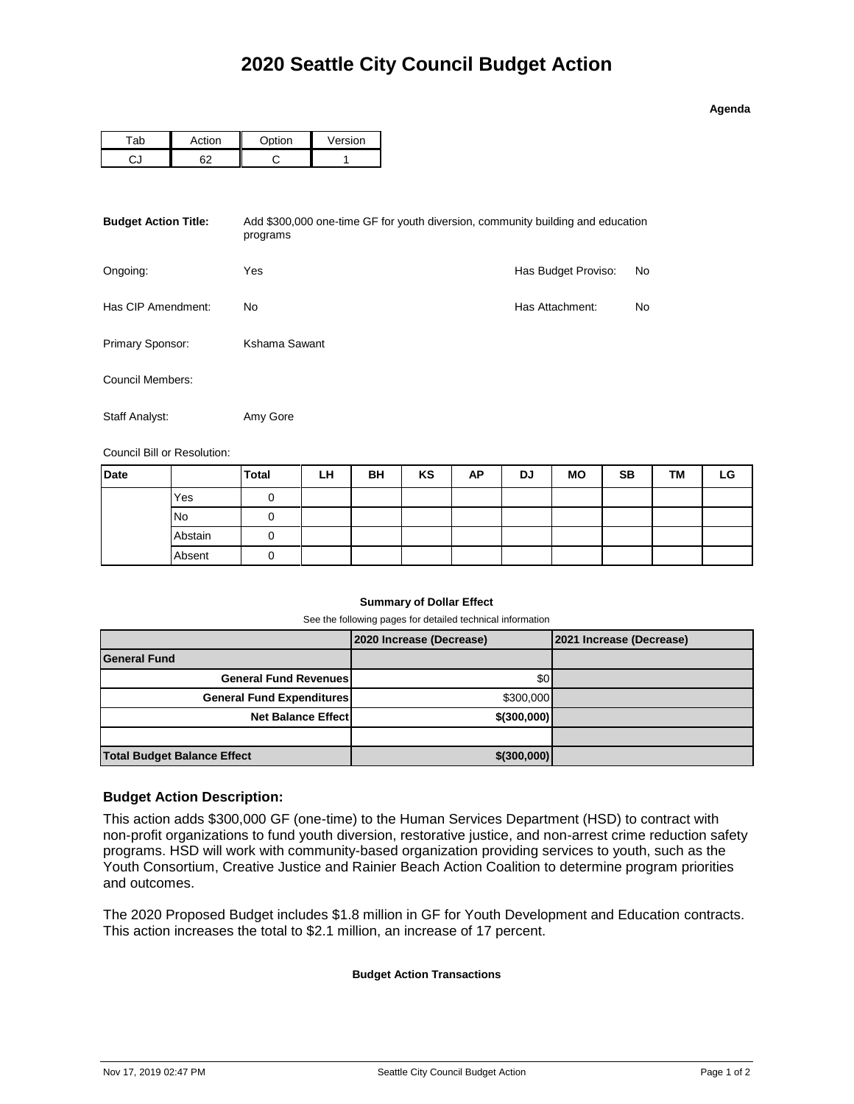| o<br>43 | ena |  |
|---------|-----|--|

| `ab | <b>ction</b> | $\sim$ tion | <b>Version</b> |
|-----|--------------|-------------|----------------|
|     | הה           |             |                |

| <b>Budget Action Title:</b> | Add \$300,000 one-time GF for youth diversion, community building and education<br>programs |                     |     |  |  |  |  |
|-----------------------------|---------------------------------------------------------------------------------------------|---------------------|-----|--|--|--|--|
| Ongoing:                    | Yes                                                                                         | Has Budget Proviso: | No  |  |  |  |  |
| Has CIP Amendment:          | No                                                                                          | Has Attachment:     | No. |  |  |  |  |
| Primary Sponsor:            | Kshama Sawant                                                                               |                     |     |  |  |  |  |
| Council Members:            |                                                                                             |                     |     |  |  |  |  |
| Staff Analyst:              | Amy Gore                                                                                    |                     |     |  |  |  |  |

Council Bill or Resolution:

| <b>Date</b> |           | <b>Total</b> | LH | BH | KS | AP | DJ | <b>MO</b> | <b>SB</b> | TМ | LG |
|-------------|-----------|--------------|----|----|----|----|----|-----------|-----------|----|----|
|             | Yes       |              |    |    |    |    |    |           |           |    |    |
|             | <b>No</b> |              |    |    |    |    |    |           |           |    |    |
|             | Abstain   |              |    |    |    |    |    |           |           |    |    |
|             | Absent    | 0            |    |    |    |    |    |           |           |    |    |

## **Summary of Dollar Effect**

See the following pages for detailed technical information

|                                    | 2020 Increase (Decrease) | 2021 Increase (Decrease) |
|------------------------------------|--------------------------|--------------------------|
| <b>General Fund</b>                |                          |                          |
| <b>General Fund Revenues</b>       | \$0                      |                          |
| <b>General Fund Expenditures</b>   | \$300,000                |                          |
| <b>Net Balance Effect</b>          | \$(300,000)              |                          |
|                                    |                          |                          |
| <b>Total Budget Balance Effect</b> | $$$ (300,000)            |                          |

## **Budget Action Description:**

This action adds \$300,000 GF (one-time) to the Human Services Department (HSD) to contract with non-profit organizations to fund youth diversion, restorative justice, and non-arrest crime reduction safety programs. HSD will work with community-based organization providing services to youth, such as the Youth Consortium, Creative Justice and Rainier Beach Action Coalition to determine program priorities and outcomes.

The 2020 Proposed Budget includes \$1.8 million in GF for Youth Development and Education contracts. This action increases the total to \$2.1 million, an increase of 17 percent.

## **Budget Action Transactions**